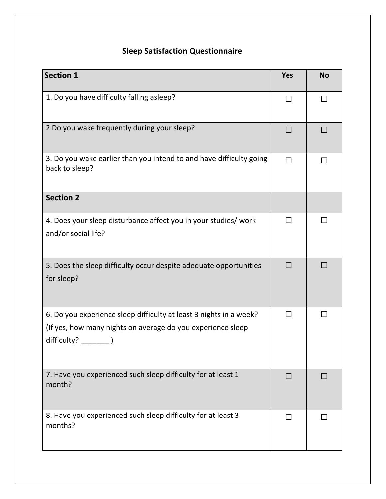## **Sleep Satisfaction Questionnaire**

| <b>Section 1</b>                                                                                                                  | <b>Yes</b>     | <b>No</b> |
|-----------------------------------------------------------------------------------------------------------------------------------|----------------|-----------|
| 1. Do you have difficulty falling asleep?                                                                                         | $\Box$         |           |
| 2 Do you wake frequently during your sleep?                                                                                       | $\mathcal{L}$  |           |
| 3. Do you wake earlier than you intend to and have difficulty going<br>back to sleep?                                             | $\blacksquare$ |           |
| <b>Section 2</b>                                                                                                                  |                |           |
| 4. Does your sleep disturbance affect you in your studies/ work<br>and/or social life?                                            |                |           |
| 5. Does the sleep difficulty occur despite adequate opportunities<br>for sleep?                                                   |                |           |
| 6. Do you experience sleep difficulty at least 3 nights in a week?<br>(If yes, how many nights on average do you experience sleep | $\Box$         |           |
| 7. Have you experienced such sleep difficulty for at least 1<br>month?                                                            | $\Box$         |           |
| 8. Have you experienced such sleep difficulty for at least 3<br>months?                                                           |                |           |